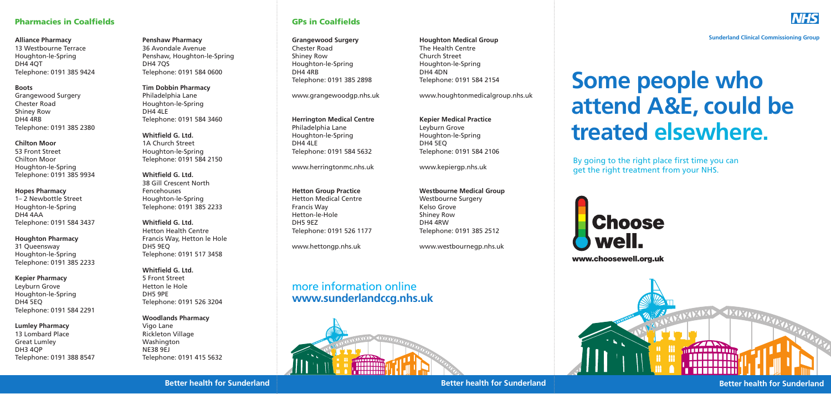**Sunderland Clinical Commissioning Group**

# **Some people who attend A&E, could be treated elsewhere.**





**Better health for Sunderland Better health for Sunderland** 



**Better health for Sunderland**

www.choosewell.org.uk

**Alliance Pharmacy** 13 Westbourne Terrace Houghton-le-Spring DH4 4QT Telephone: 0191 385 9424

**Boots** Grangewood Surgery Chester Road Shiney Row DH4 4RB Telephone: 0191 385 2380

**Chilton Moor** 53 Front Street Chilton Moor Houghton-le-Spring Telephone: 0191 385 9934

### **Hopes Pharmacy**

1– 2 Newbottle Street Houghton-le-Spring DH4 4AA Telephone: 0191 584 3437

**Houghton Pharmacy** 31 Queensway Houghton-le-Spring Telephone: 0191 385 2233

### **Kepier Pharmacy**

Leyburn Grove Houghton-le-Spring DH4 5EQ Telephone: 0191 584 2291

### **Lumley Pharmacy**

13 Lombard Place Great Lumley DH3 4QP Telephone: 0191 388 8547 **Penshaw Pharmacy** 36 Avondale Avenue Penshaw, Houghton-le-Spring DH4 7QS Telephone: 0191 584 0600

**Tim Dobbin Pharmacy** Philadelphia Lane Houghton-le-Spring DH4 4LE Telephone: 0191 584 3460

**Whitfield G. Ltd.** 1A Church Street Houghton-le-Spring Telephone: 0191 584 2150

**Whitfield G. Ltd.** 38 Gill Crescent North Fencehouses Houghton-le-Spring Telephone: 0191 385 2233

**Whitfield G. Ltd.** Hetton Health Centre Francis Way, Hetton le Hole DH5 9EQ Telephone: 0191 517 3458

## **Whitfield G. Ltd.**

5 Front Street Hetton le Hole DH5 9PE Telephone: 0191 526 3204

## **Woodlands Pharmacy**

Vigo Lane Rickleton Village Washington NE38 9EJ Telephone: 0191 415 5632

# Pharmacies in Coalfields GPs in Coalfields

**Grangewood Surgery** Chester Road Shiney Row Houghton-le-Spring DH4 4RB Telephone: 0191 385 2898

www.grangewoodgp.nhs.uk

**Herrington Medical Centre** Philadelphia Lane Houghton-le-Spring DH4 4LE Telephone: 0191 584 5632

www.herringtonmc.nhs.uk

**Hetton Group Practice** Hetton Medical Centre Francis Way Hetton-le-Hole DH5 9EZ Telephone: 0191 526 1177

www.hettongp.nhs.uk

**Houghton Medical Group** The Health Centre Church Street Houghton-le-Spring DH4 4DN Telephone: 0191 584 2154

www.houghtonmedicalgroup.nhs.uk

**Kepier Medical Practice** Leyburn Grove Houghton-le-Spring DH4 5EQ Telephone: 0191 584 2106

www.kepiergp.nhs.uk

**Westbourne Medical Group** Westbourne Surgery Kelso Grove Shiney Row DH4 4RW Telephone: 0191 385 2512

www.westbournegp.nhs.uk

# more information online **www.sunderlandccg.nhs.uk**



By going to the right place first time you can get the right treatment from your NHS.